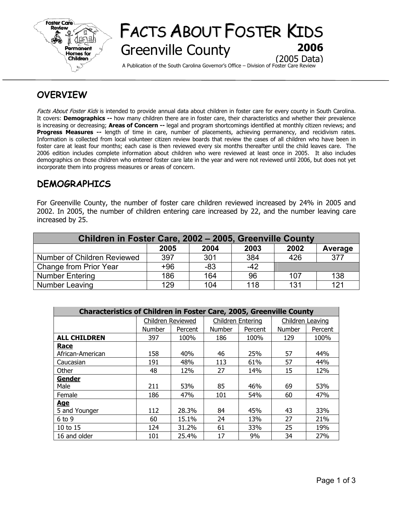

# FACTS ABOUT FOSTER KIDS Greenville County **2006** (2005 Data)

A Publication of the South Carolina Governor's Office – Division of Foster Care Review

## **OVERVIEW**

Facts About Foster Kids is intended to provide annual data about children in foster care for every county in South Carolina. It covers: **Demographics --** how many children there are in foster care, their characteristics and whether their prevalence is increasing or decreasing; **Areas of Concern --** legal and program shortcomings identified at monthly citizen reviews; and **Progress Measures --** length of time in care, number of placements, achieving permanency, and recidivism rates. Information is collected from local volunteer citizen review boards that review the cases of all children who have been in foster care at least four months; each case is then reviewed every six months thereafter until the child leaves care. The 2006 edition includes complete information about children who were reviewed at least once in 2005. It also includes demographics on those children who entered foster care late in the year and were not reviewed until 2006, but does not yet incorporate them into progress measures or areas of concern.

### **DEMOGRAPHICS**

For Greenville County, the number of foster care children reviewed increased by 24% in 2005 and 2002. In 2005, the number of children entering care increased by 22, and the number leaving care increased by 25.

| Children in Foster Care, 2002 - 2005, Greenville County |      |       |       |      |         |  |  |  |
|---------------------------------------------------------|------|-------|-------|------|---------|--|--|--|
|                                                         | 2005 | 2004  | 2003  | 2002 | Average |  |  |  |
| Number of Children Reviewed                             | 397  | 301   | 384   | 426  | 377     |  |  |  |
| Change from Prior Year                                  | +96  | $-83$ | $-42$ |      |         |  |  |  |
| <b>Number Entering</b>                                  | 186  | 164   | 96    | 107  | 138     |  |  |  |
| Number Leaving                                          | 129  | 104   | 118   | 131  | 121     |  |  |  |

| <b>Characteristics of Children in Foster Care, 2005, Greenville County</b> |                   |         |                          |         |                  |         |  |  |
|----------------------------------------------------------------------------|-------------------|---------|--------------------------|---------|------------------|---------|--|--|
|                                                                            | Children Reviewed |         | <b>Children Entering</b> |         | Children Leaving |         |  |  |
|                                                                            | <b>Number</b>     | Percent | Number                   | Percent | Number           | Percent |  |  |
| <b>ALL CHILDREN</b>                                                        | 397               | 100%    | 186                      | 100%    | 129              | 100%    |  |  |
| <b>Race</b>                                                                |                   |         |                          |         |                  |         |  |  |
| African-American                                                           | 158               | 40%     | 46                       | 25%     | 57               | 44%     |  |  |
| Caucasian                                                                  | 191               | 48%     | 113                      | 61%     | 57               | 44%     |  |  |
| Other                                                                      | 48                | 12%     | 27                       | 14%     | 15               | 12%     |  |  |
| Gender                                                                     |                   |         |                          |         |                  |         |  |  |
| Male                                                                       | 211               | 53%     | 85                       | 46%     | 69               | 53%     |  |  |
| Female                                                                     | 186               | 47%     | 101                      | 54%     | 60               | 47%     |  |  |
| <u>Age</u>                                                                 |                   |         |                          |         |                  |         |  |  |
| 5 and Younger                                                              | 112               | 28.3%   | 84                       | 45%     | 43               | 33%     |  |  |
| $6$ to $9$                                                                 | 60                | 15.1%   | 24                       | 13%     | 27               | 21%     |  |  |
| 10 to 15                                                                   | 124               | 31.2%   | 61                       | 33%     | 25               | 19%     |  |  |
| 16 and older                                                               | 101               | 25.4%   | 17                       | 9%      | 34               | 27%     |  |  |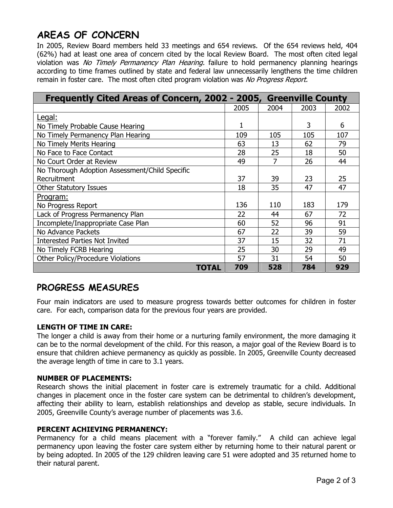# **AREAS OF CONCERN**

In 2005, Review Board members held 33 meetings and 654 reviews. Of the 654 reviews held, 404 (62%) had at least one area of concern cited by the local Review Board. The most often cited legal violation was No Timely Permanency Plan Hearing. failure to hold permanency planning hearings according to time frames outlined by state and federal law unnecessarily lengthens the time children remain in foster care. The most often cited program violation was No Progress Report.

| Frequently Cited Areas of Concern, 2002 - 2005, Greenville County |      |      |      |      |
|-------------------------------------------------------------------|------|------|------|------|
|                                                                   | 2005 | 2004 | 2003 | 2002 |
| Legal:                                                            |      |      |      |      |
| No Timely Probable Cause Hearing                                  |      |      | 3    | 6    |
| No Timely Permanency Plan Hearing                                 | 109  | 105  | 105  | 107  |
| No Timely Merits Hearing                                          | 63   | 13   | 62   | 79   |
| No Face to Face Contact                                           | 28   | 25   | 18   | 50   |
| No Court Order at Review                                          | 49   | 7    | 26   | 44   |
| No Thorough Adoption Assessment/Child Specific                    |      |      |      |      |
| Recruitment                                                       | 37   | 39   | 23   | 25   |
| <b>Other Statutory Issues</b>                                     | 18   | 35   | 47   | 47   |
| <u>Program:</u>                                                   |      |      |      |      |
| No Progress Report                                                | 136  | 110  | 183  | 179  |
| Lack of Progress Permanency Plan                                  | 22   | 44   | 67   | 72   |
| Incomplete/Inappropriate Case Plan                                | 60   | 52   | 96   | 91   |
| No Advance Packets                                                | 67   | 22   | 39   | 59   |
| <b>Interested Parties Not Invited</b>                             | 37   | 15   | 32   | 71   |
| No Timely FCRB Hearing                                            | 25   | 30   | 29   | 49   |
| <b>Other Policy/Procedure Violations</b>                          | 57   | 31   | 54   | 50   |
| TOTAL                                                             | 709  | 528  | 784  | 929  |

### **PROGRESS MEASURES**

Four main indicators are used to measure progress towards better outcomes for children in foster care. For each, comparison data for the previous four years are provided.

### **LENGTH OF TIME IN CARE:**

The longer a child is away from their home or a nurturing family environment, the more damaging it can be to the normal development of the child. For this reason, a major goal of the Review Board is to ensure that children achieve permanency as quickly as possible. In 2005, Greenville County decreased the average length of time in care to 3.1 years.

### **NUMBER OF PLACEMENTS:**

Research shows the initial placement in foster care is extremely traumatic for a child. Additional changes in placement once in the foster care system can be detrimental to children's development, affecting their ability to learn, establish relationships and develop as stable, secure individuals. In 2005, Greenville County's average number of placements was 3.6.

### **PERCENT ACHIEVING PERMANENCY:**

Permanency for a child means placement with a "forever family." A child can achieve legal permanency upon leaving the foster care system either by returning home to their natural parent or by being adopted. In 2005 of the 129 children leaving care 51 were adopted and 35 returned home to their natural parent.